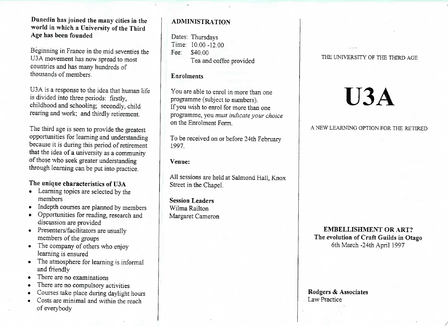**Dunch the goined the many cities in the**<br>world in which a University of the Third **world in which a University of the ThirdAge has been founded**

Beginning in France in the mid seventies the U3A movement has now spread to most countries and has many hundreds of thousands of members thousands of members.

U3A is a response to the idea that human life<br>is divided into three periods: firstly. is dividend into the periods: firstly, rearing and work; and thirdly retirement.

The third age is seen to provide the greatest performance for rearning and anderstanding<br>because it is during this period of retirement that the idea of a university as a community of those who seek greater understanding through learning can be put into practice.

- **The unique care is a contracted** by the members
- ndepth co  $\bullet$
- Opportunities for reading, research and discussion are provided
- discussion are provided. members of the groups
- $\frac{1}{2}$  he company of others  $\frac{1}{2}$ learning is ensured
- The atmosphere for learning is informal  $\bullet$ and friendly<br>There are no examinations
- 
- There are no compulsory ac
- Courses take place during daylight b
- Fourses take place during day tight hours • Costs are minimal and within the reachof every leading the control of the control of the control of the control of the control of the control of the <br>Separate control of the control of the control of the control of the control of the control of the control of

# **ADMINISTRATION**

Dates: Thursdays Time: 10.00-12.00Fee: \$40.00Tea and coffee provided

#### Enrolments

You are able to enrol in more than one programme (subject to numbers). programme (subject to numbers). If you wish to enrol for more than one programme, you *must indicate your choice*on the Enrolment Form.

To be received on or before 24th February1997.

### **Venue:**

All sessions are held at Salmond Hail, KnoxStreet in the Chapel.

**Session Leaders**Wilma RailtonMargaret Cameron

#### THE UNIVERSITY OF THE THIRD AGE

# **U3A**

#### A NEW LEARNING OPTION FOR THE RETIRED

### **EMBELLISHMENT OR ART? The evolution of Craft Guilds in Otago**6th March -24th April 1997

#### **Rodgers** *&* **Associates**Law Practice